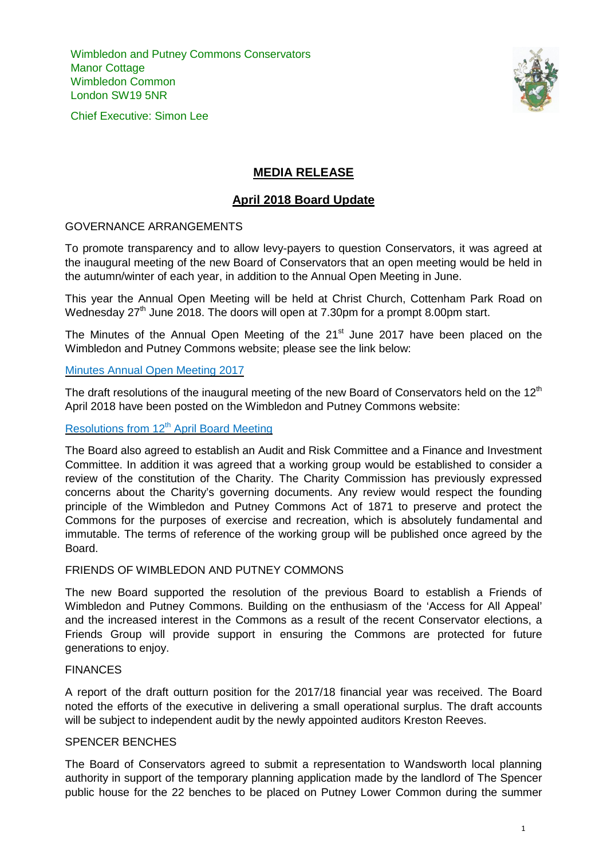Wimbledon and Putney Commons Conservators Manor Cottage Wimbledon Common London SW19 5NR

Chief Executive: Simon Lee



# **MEDIA RELEASE**

# **April 2018 Board Update**

## GOVERNANCE ARRANGEMENTS

To promote transparency and to allow levy-payers to question Conservators, it was agreed at the inaugural meeting of the new Board of Conservators that an open meeting would be held in the autumn/winter of each year, in addition to the Annual Open Meeting in June.

This year the Annual Open Meeting will be held at Christ Church, Cottenham Park Road on Wednesday 27<sup>th</sup> June 2018. The doors will open at 7.30pm for a prompt 8.00pm start.

The Minutes of the Annual Open Meeting of the  $21<sup>st</sup>$  June 2017 have been placed on the Wimbledon and Putney Commons website; please see the link below:

## Minutes Annual Open [Meeting](https://www.wpcc.org.uk/downloads/minutes-of-the-conservators-2017-annual-open-meeting-final.pdf) 2017

The draft resolutions of the inaugural meeting of the new Board of Conservators held on the  $12<sup>th</sup>$ April 2018 have been posted on the Wimbledon and Putney Commons website:

## [Resolutions](https://www.wpcc.org.uk/downloads/board-meeting-resolutions-final-24.04.18-web.pdf) from 12<sup>th</sup> April Board Meeting

The Board also agreed to establish an Audit and Risk Committee and a Finance and Investment Committee. In addition it was agreed that a working group would be established to consider a review of the constitution of the Charity. The Charity Commission has previously expressed concerns about the Charity's governing documents. Any review would respect the founding principle of the Wimbledon and Putney Commons Act of 1871 to preserve and protect the Commons for the purposes of exercise and recreation, which is absolutely fundamental and immutable. The terms of reference of the working group will be published once agreed by the Board.

#### FRIENDS OF WIMBLEDON AND PUTNEY COMMONS

The new Board supported the resolution of the previous Board to establish a Friends of Wimbledon and Putney Commons. Building on the enthusiasm of the 'Access for All Appeal' and the increased interest in the Commons as a result of the recent Conservator elections, a Friends Group will provide support in ensuring the Commons are protected for future generations to enjoy.

#### FINANCES

A report of the draft outturn position for the 2017/18 financial year was received. The Board noted the efforts of the executive in delivering a small operational surplus. The draft accounts will be subject to independent audit by the newly appointed auditors Kreston Reeves.

## SPENCER BENCHES

The Board of Conservators agreed to submit a representation to Wandsworth local planning authority in support of the temporary planning application made by the landlord of The Spencer public house for the 22 benches to be placed on Putney Lower Common during the summer